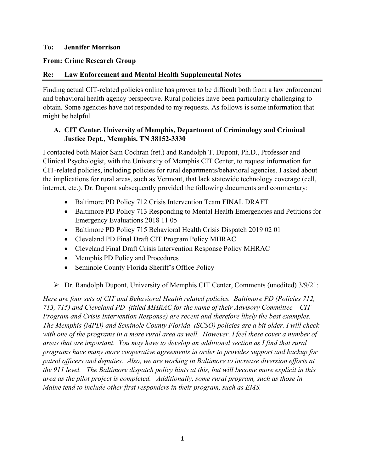#### **To: Jennifer Morrison**

#### **From: Crime Research Group**

### **Re: Law Enforcement and Mental Health Supplemental Notes**

Finding actual CIT-related policies online has proven to be difficult both from a law enforcement and behavioral health agency perspective. Rural policies have been particularly challenging to obtain. Some agencies have not responded to my requests. As follows is some information that might be helpful.

### **A. CIT Center, University of Memphis, Department of Criminology and Criminal Justice Dept., Memphis, TN 38152-3330**

I contacted both Major Sam Cochran (ret.) and Randolph T. Dupont, Ph.D., Professor and Clinical Psychologist, with the University of Memphis CIT Center, to request information for CIT-related policies, including policies for rural departments/behavioral agencies. I asked about the implications for rural areas, such as Vermont, that lack statewide technology coverage (cell, internet, etc.). Dr. Dupont subsequently provided the following documents and commentary:

- Baltimore PD Policy 712 Crisis Intervention Team FINAL DRAFT
- Baltimore PD Policy 713 Responding to Mental Health Emergencies and Petitions for Emergency Evaluations 2018 11 05
- Baltimore PD Policy 715 Behavioral Health Crisis Dispatch 2019 02 01
- Cleveland PD Final Draft CIT Program Policy MHRAC
- Cleveland Final Draft Crisis Intervention Response Policy MHRAC
- Memphis PD Policy and Procedures
- Seminole County Florida Sheriff's Office Policy
- Dr. Randolph Dupont, University of Memphis CIT Center, Comments (unedited) 3/9/21:

*Here are four sets of CIT and Behavioral Health related policies. Baltimore PD (Policies 712, 713, 715) and Cleveland PD (titled MHRAC for the name of their Advisory Committee – CIT Program and Crisis Intervention Response) are recent and therefore likely the best examples. The Memphis (MPD) and Seminole County Florida (SCSO) policies are a bit older. I will check*  with one of the programs in a more rural area as well. However, I feel these cover a number of *areas that are important. You may have to develop an additional section as I find that rural programs have many more cooperative agreements in order to provides support and backup for patrol officers and deputies. Also, we are working in Baltimore to increase diversion efforts at the 911 level. The Baltimore dispatch policy hints at this, but will become more explicit in this area as the pilot project is completed. Additionally, some rural program, such as those in Maine tend to include other first responders in their program, such as EMS.*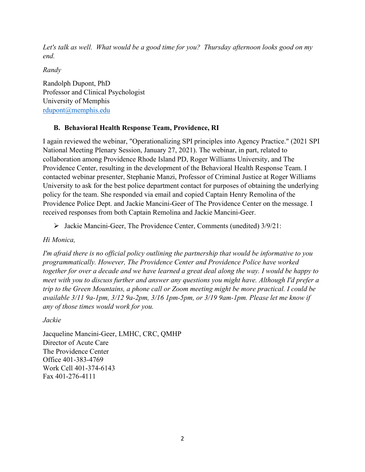*Let's talk as well. What would be a good time for you? Thursday afternoon looks good on my end.* 

*Randy*

Randolph Dupont, PhD Professor and Clinical Psychologist University of Memphis [rdupont@memphis.edu](mailto:rdupont@memphis.edu)

# **B. Behavioral Health Response Team, Providence, RI**

I again reviewed the webinar, "Operationalizing SPI principles into Agency Practice." (2021 SPI National Meeting Plenary Session, January 27, 2021). The webinar, in part, related to collaboration among Providence Rhode Island PD, Roger Williams University, and The Providence Center, resulting in the development of the Behavioral Health Response Team. I contacted webinar presenter, Stephanie Manzi, Professor of Criminal Justice at Roger Williams University to ask for the best police department contact for purposes of obtaining the underlying policy for the team. She responded via email and copied Captain Henry Remolina of the Providence Police Dept. and Jackie Mancini-Geer of The Providence Center on the message. I received responses from both Captain Remolina and Jackie Mancini-Geer.

Jackie Mancini-Geer, The Providence Center, Comments (unedited) 3/9/21:

*Hi Monica,*

*I'm afraid there is no official policy outlining the partnership that would be informative to you programmatically. However, The Providence Center and Providence Police have worked together for over a decade and we have learned a great deal along the way. I would be happy to meet with you to discuss further and answer any questions you might have. Although I'd prefer a trip to the Green Mountains, a phone call or Zoom meeting might be more practical. I could be available 3/11 9a-1pm, 3/12 9a-2pm, 3/16 1pm-5pm, or 3/19 9am-1pm. Please let me know if any of those times would work for you.*

*Jackie*

Jacqueline Mancini-Geer, LMHC, CRC, QMHP Director of Acute Care The Providence Center Office 401-383-4769 Work Cell 401-374-6143 Fax 401-276-4111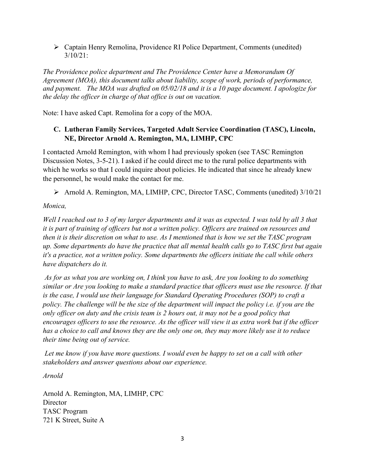Captain Henry Remolina, Providence RI Police Department, Comments (unedited) 3/10/21:

*The Providence police department and The Providence Center have a Memorandum Of Agreement (MOA), this document talks about liability, scope of work, periods of performance, and payment. The MOA was drafted on 05/02/18 and it is a 10 page document. I apologize for the delay the officer in charge of that office is out on vacation.*

Note: I have asked Capt. Remolina for a copy of the MOA.

## **C. Lutheran Family Services, Targeted Adult Service Coordination (TASC), Lincoln, NE, Director Arnold A. Remington, MA, LIMHP, CPC**

I contacted Arnold Remington, with whom I had previously spoken (see TASC Remington Discussion Notes, 3-5-21). I asked if he could direct me to the rural police departments with which he works so that I could inquire about policies. He indicated that since he already knew the personnel, he would make the contact for me.

Arnold A. Remington, MA, LIMHP, CPC, Director TASC, Comments (unedited) 3/10/21

*Monica,*

*Well I reached out to 3 of my larger departments and it was as expected. I was told by all 3 that it is part of training of officers but not a written policy. Officers are trained on resources and then it is their discretion on what to use. As I mentioned that is how we set the TASC program up. Some departments do have the practice that all mental health calls go to TASC first but again it's a practice, not a written policy. Some departments the officers initiate the call while others have dispatchers do it.* 

*As for as what you are working on, I think you have to ask, Are you looking to do something similar or Are you looking to make a standard practice that officers must use the resource. If that is the case, I would use their language for Standard Operating Procedures (SOP) to craft a policy. The challenge will be the size of the department will impact the policy i.e. if you are the only officer on duty and the crisis team is 2 hours out, it may not be a good policy that encourages officers to use the resource. As the officer will view it as extra work but if the officer has a choice to call and knows they are the only one on, they may more likely use it to reduce their time being out of service.*

Let me know if you have more questions. I would even be happy to set on a call with other *stakeholders and answer questions about our experience.*

*Arnold*

Arnold A. Remington, MA, LIMHP, CPC **Director** TASC Program 721 K Street, Suite A